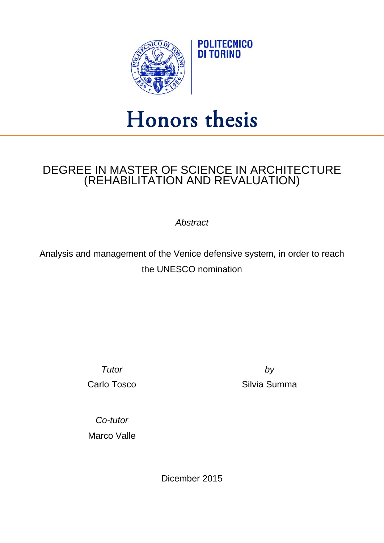

## Honors thesis

## DEGREE IN MASTER OF SCIENCE IN ARCHITECTURE (REHABILITATION AND REVALUATION)

*Abstract*

Analysis and management of the Venice defensive system, in order to reach the UNESCO nomination

*Tutor by*

Carlo Tosco **Silvia Summa** 

*Co-tutor* Marco Valle

Dicember 2015